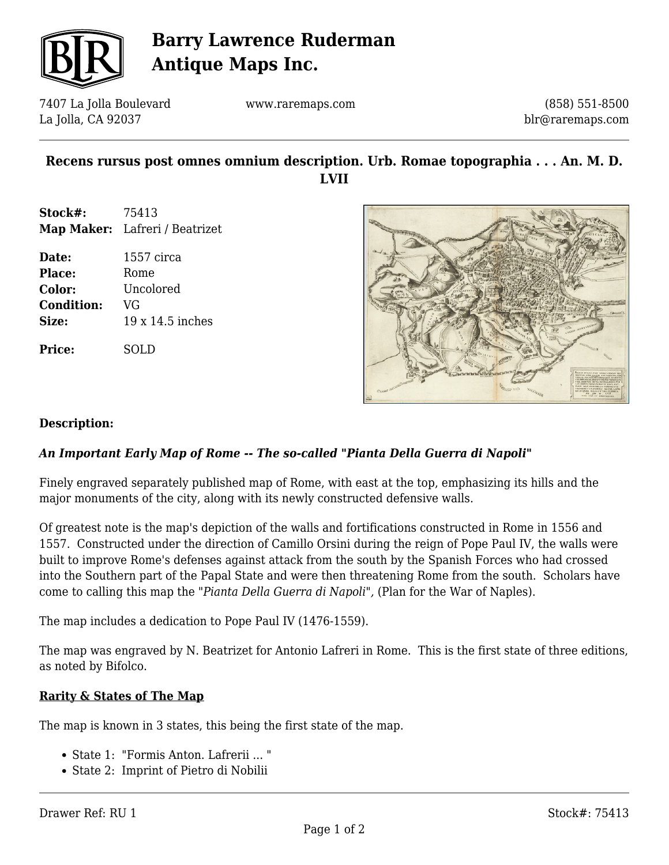

# **Barry Lawrence Ruderman Antique Maps Inc.**

7407 La Jolla Boulevard La Jolla, CA 92037

www.raremaps.com

(858) 551-8500 blr@raremaps.com

## **Recens rursus post omnes omnium description. Urb. Romae topographia . . . An. M. D. LVII**

- **Stock#:** 75413 **Map Maker:** Lafreri / Beatrizet
- **Date:** 1557 circa Place: Rome **Color:** Uncolored **Condition:** VG **Size:** 19 x 14.5 inches

**Price:** SOLD



### **Description:**

### *An Important Early Map of Rome -- The so-called "Pianta Della Guerra di Napoli"*

Finely engraved separately published map of Rome, with east at the top, emphasizing its hills and the major monuments of the city, along with its newly constructed defensive walls.

Of greatest note is the map's depiction of the walls and fortifications constructed in Rome in 1556 and 1557. Constructed under the direction of Camillo Orsini during the reign of Pope Paul IV, the walls were built to improve Rome's defenses against attack from the south by the Spanish Forces who had crossed into the Southern part of the Papal State and were then threatening Rome from the south. Scholars have come to calling this map the *"Pianta Della Guerra di Napoli",* (Plan for the War of Naples).

The map includes a dedication to Pope Paul IV (1476-1559).

The map was engraved by N. Beatrizet for Antonio Lafreri in Rome. This is the first state of three editions, as noted by Bifolco.

### **Rarity & States of The Map**

The map is known in 3 states, this being the first state of the map.

- State 1: "Formis Anton. Lafrerii ... "
- State 2: Imprint of Pietro di Nobilii